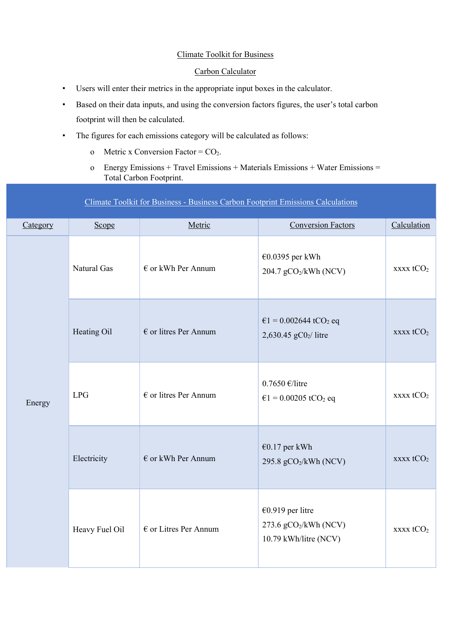#### Climate Toolkit for Business

#### Carbon Calculator

- Users will enter their metrics in the appropriate input boxes in the calculator.
- Based on their data inputs, and using the conversion factors figures, the user's total carbon footprint will then be calculated.
- The figures for each emissions category will be calculated as follows:
	- o Metric x Conversion Factor =  $CO<sub>2</sub>$ .
	- o Energy Emissions + Travel Emissions + Materials Emissions + Water Emissions = Total Carbon Footprint.

### Climate Toolkit for Business - Business Carbon Footprint Emissions Calculations

| Category | Scope          | Metric                         | <b>Conversion Factors</b>                                            | Calculation                              |
|----------|----------------|--------------------------------|----------------------------------------------------------------------|------------------------------------------|
| Energy   | Natural Gas    | $\epsilon$ or kWh Per Annum    | €0.0395 per kWh<br>204.7 gCO <sub>2</sub> /kWh (NCV)                 | $\overline{\text{XXX}}$ tCO <sub>2</sub> |
|          | Heating Oil    | $\epsilon$ or litres Per Annum | $\epsilon$ 1 = 0.002644 tCO <sub>2</sub> eq<br>2,630.45 $gC_2$ litre | $\overline{\text{XXX}}$ tCO <sub>2</sub> |
|          | <b>LPG</b>     | $\epsilon$ or litres Per Annum | $0.7650$ €/litre<br>$\epsilon$ 1 = 0.00205 tCO <sub>2</sub> eq       | $xxxxx$ t $CO2$                          |
|          | Electricity    | $\epsilon$ or kWh Per Annum    | €0.17 per kWh<br>295.8 gCO2/kWh (NCV)                                | $\overline{\text{XXX}}$ tCO <sub>2</sub> |
|          | Heavy Fuel Oil | $\epsilon$ or Litres Per Annum | €0.919 per litre<br>273.6 $gCO2/kWh$ (NCV)<br>10.79 kWh/litre (NCV)  | $xxxxx$ t $CO2$                          |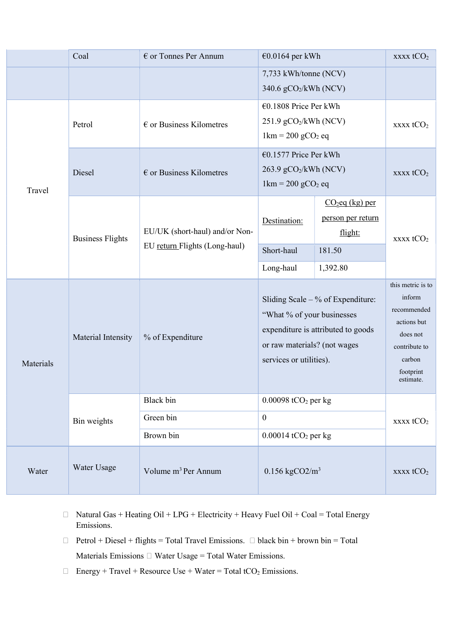|           | Coal                    | $\epsilon$ or Tonnes Per Annum                                                                                                                                                          | €0.0164 per kWh                                                                                                      |                                                                                                                            | xxxx tCO <sub>2</sub>                     |
|-----------|-------------------------|-----------------------------------------------------------------------------------------------------------------------------------------------------------------------------------------|----------------------------------------------------------------------------------------------------------------------|----------------------------------------------------------------------------------------------------------------------------|-------------------------------------------|
|           |                         |                                                                                                                                                                                         | 7,733 kWh/tonne (NCV)<br>340.6 gCO2/kWh (NCV)                                                                        |                                                                                                                            |                                           |
|           | Petrol                  | $\epsilon$ or Business Kilometres                                                                                                                                                       | €0.1808 Price Per kWh<br>$251.9$ gCO <sub>2</sub> /kWh (NCV)<br>$1 \text{km} = 200 \text{ gCO}_2 \text{ eq}$         |                                                                                                                            | xxxx tCO <sub>2</sub>                     |
| Travel    | Diesel                  | $\epsilon$ or Business Kilometres                                                                                                                                                       | €0.1577 Price Per kWh<br>$263.9$ gCO <sub>2</sub> /kWh (NCV)<br>$1 \text{km} = 200 \text{ g} \text{CO}_2 \text{ eq}$ |                                                                                                                            | $\overline{\text{XXX}}$ tCO <sub>2</sub>  |
|           | <b>Business Flights</b> | EU/UK (short-haul) and/or Non-<br>EU return Flights (Long-haul)                                                                                                                         | Destination:<br>Short-haul                                                                                           | $CO2eq$ (kg) per<br>person per return<br>flight:<br>181.50                                                                 | $\overline{\text{xxxx}}$ tCO <sub>2</sub> |
|           |                         |                                                                                                                                                                                         | Long-haul                                                                                                            | 1,392.80                                                                                                                   |                                           |
| Materials | Material Intensity      | Sliding Scale $-$ % of Expenditure:<br>"What % of your businesses"<br>expenditure is attributed to goods<br>% of Expenditure<br>or raw materials? (not wages<br>services or utilities). |                                                                                                                      | this metric is to<br>inform<br>recommended<br>actions but<br>does not<br>contribute to<br>carbon<br>footprint<br>estimate. |                                           |
|           | Bin weights             | Black bin<br>Green bin<br>Brown bin                                                                                                                                                     | $0.00098$ tCO <sub>2</sub> per kg<br>$\mathbf{0}$<br>$0.00014$ tCO <sub>2</sub> per kg                               |                                                                                                                            | $xxxxx$ t $CO2$                           |
| Water     | Water Usage             | Volume m <sup>3</sup> Per Annum                                                                                                                                                         | $0.156 \text{ kgCO2/m}^3$                                                                                            |                                                                                                                            | xxxx tCO <sub>2</sub>                     |

- $\Box$  Natural Gas + Heating Oil + LPG + Electricity + Heavy Fuel Oil + Coal = Total Energy Emissions.
- $\Box$  Petrol + Diesel + flights = Total Travel Emissions.  $\Box$  black bin + brown bin = Total Materials Emissions  $\Box$  Water Usage = Total Water Emissions.
- $\Box$  Energy + Travel + Resource Use + Water = Total tCO<sub>2</sub> Emissions.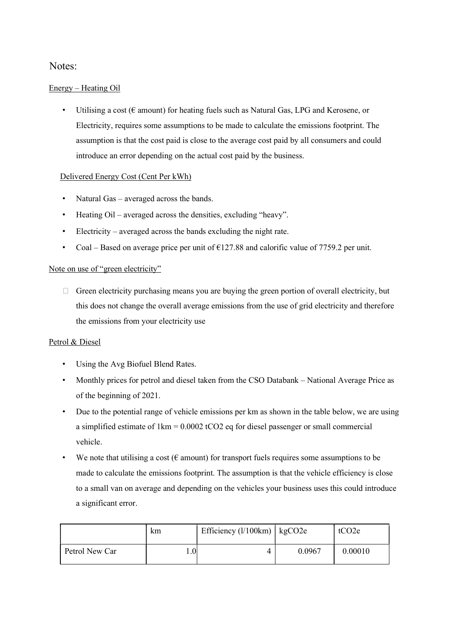## Notes:

#### Energy – Heating Oil

• Utilising a cost ( $\epsilon$  amount) for heating fuels such as Natural Gas, LPG and Kerosene, or Electricity, requires some assumptions to be made to calculate the emissions footprint. The assumption is that the cost paid is close to the average cost paid by all consumers and could introduce an error depending on the actual cost paid by the business.

#### Delivered Energy Cost (Cent Per kWh)

- Natural Gas averaged across the bands.
- Heating Oil averaged across the densities, excluding "heavy".
- Electricity averaged across the bands excluding the night rate.
- Coal Based on average price per unit of  $\epsilon$ 127.88 and calorific value of 7759.2 per unit.

#### Note on use of "green electricity"

 $\Box$  Green electricity purchasing means you are buying the green portion of overall electricity, but this does not change the overall average emissions from the use of grid electricity and therefore the emissions from your electricity use

#### Petrol & Diesel

- Using the Avg Biofuel Blend Rates.
- Monthly prices for petrol and diesel taken from the CSO Databank National Average Price as of the beginning of 2021.
- Due to the potential range of vehicle emissions per km as shown in the table below, we are using a simplified estimate of 1km = 0.0002 tCO2 eq for diesel passenger or small commercial vehicle.
- We note that utilising a cost ( $\epsilon$  amount) for transport fuels requires some assumptions to be made to calculate the emissions footprint. The assumption is that the vehicle efficiency is close to a small van on average and depending on the vehicles your business uses this could introduce a significant error.

|                | km      | Efficiency $(l/100km)$   kgCO2e |        | tCO <sub>2</sub> e |
|----------------|---------|---------------------------------|--------|--------------------|
| Petrol New Car | $1.0\,$ |                                 | 0.0967 | 0.00010            |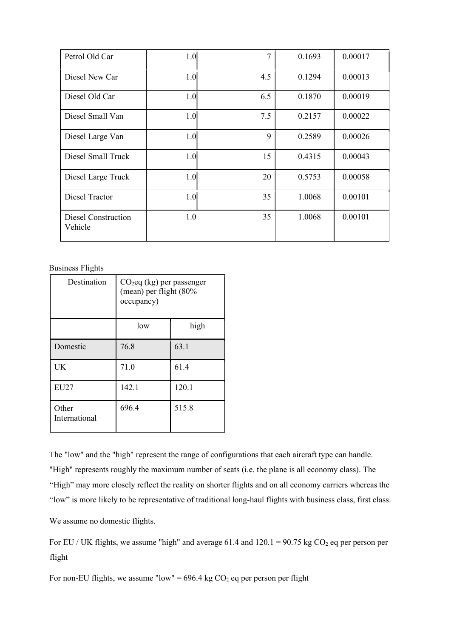| Petrol Old Car                 | 1.0 <sub>l</sub> | 7   | 0.1693 | 0.00017 |
|--------------------------------|------------------|-----|--------|---------|
| Diesel New Car                 | 1.0 <sub>l</sub> | 4.5 | 0.1294 | 0.00013 |
| Diesel Old Car                 | 1.0              | 6.5 | 0.1870 | 0.00019 |
| Diesel Small Van               | 1.0              | 7.5 | 0.2157 | 0.00022 |
| Diesel Large Van               | 1.0              | 9   | 0.2589 | 0.00026 |
| Diesel Small Truck             | 1.0              | 15  | 0.4315 | 0.00043 |
| Diesel Large Truck             | 1.0 <sub>l</sub> | 20  | 0.5753 | 0.00058 |
| <b>Diesel Tractor</b>          | 1.0              | 35  | 1.0068 | 0.00101 |
| Diesel Construction<br>Vehicle | 1.0              | 35  | 1.0068 | 0.00101 |

Business Flights

| Destination            | $CO2$ eq (kg) per passenger<br>(mean) per flight (80%<br>occupancy) |       |
|------------------------|---------------------------------------------------------------------|-------|
|                        | low                                                                 | high  |
| Domestic               | 76.8                                                                | 63.1  |
| UK                     | 71.0                                                                | 61.4  |
| EU27                   | 142.1                                                               | 120.1 |
| Other<br>International | 696.4                                                               | 515.8 |

The "low" and the "high" represent the range of configurations that each aircraft type can handle. "High" represents roughly the maximum number of seats (i.e. the plane is all economy class). The "High" may more closely reflect the reality on shorter flights and on all economy carriers whereas the "low" is more likely to be representative of traditional long-haul flights with business class, first class.

We assume no domestic flights.

For EU / UK flights, we assume "high" and average 61.4 and  $120.1 = 90.75$  kg CO<sub>2</sub> eq per person per flight

For non-EU flights, we assume "low" =  $696.4$  kg CO<sub>2</sub> eq per person per flight